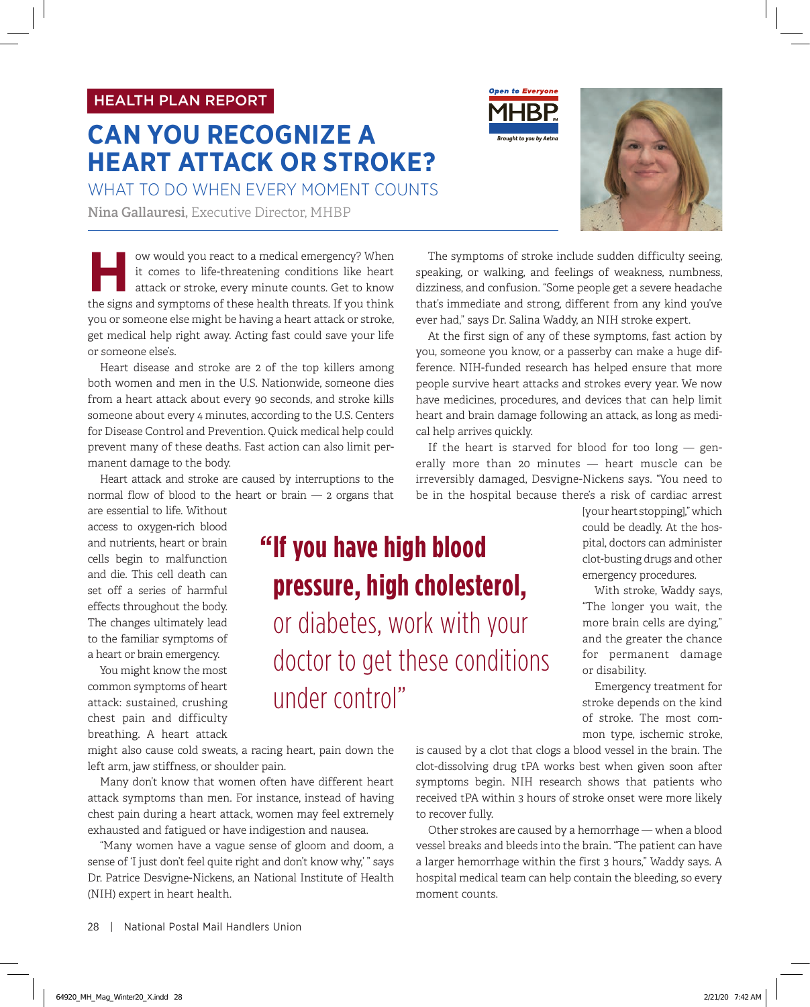### HEALTH PLAN REPORT

## **CAN YOU RECOGNIZE A HEART ATTACK OR STROKE?**

WHAT TO DO WHEN EVERY MOMENT COUNTS

**Nina Gallauresi,** Executive Director, MHBP

ow would you react to a medical emergency? When<br>it comes to life-threatening conditions like heart<br>attack or stroke, every minute counts. Get to know<br>the signs and symptoms of these health threats. If you think it comes to life-threatening conditions like heart attack or stroke, every minute counts. Get to know the signs and symptoms of these health threats. If you think you or someone else might be having a heart attack or stroke, get medical help right away. Acting fast could save your life or someone else's.

Heart disease and stroke are 2 of the top killers among both women and men in the U.S. Nationwide, someone dies from a heart attack about every 90 seconds, and stroke kills someone about every 4 minutes, according to the U.S. Centers for Disease Control and Prevention. Quick medical help could prevent many of these deaths. Fast action can also limit permanent damage to the body.

Heart attack and stroke are caused by interruptions to the normal flow of blood to the heart or brain — 2 organs that

are essential to life. Without access to oxygen-rich blood and nutrients, heart or brain cells begin to malfunction and die. This cell death can set off a series of harmful effects throughout the body. The changes ultimately lead to the familiar symptoms of a heart or brain emergency.

You might know the most common symptoms of heart attack: sustained, crushing chest pain and difficulty breathing. A heart attack

might also cause cold sweats, a racing heart, pain down the left arm, jaw stiffness, or shoulder pain.

Many don't know that women often have different heart attack symptoms than men. For instance, instead of having chest pain during a heart attack, women may feel extremely exhausted and fatigued or have indigestion and nausea.

"Many women have a vague sense of gloom and doom, a sense of 'I just don't feel quite right and don't know why,' " says Dr. Patrice Desvigne-Nickens, an National Institute of Health (NIH) expert in heart health.

The symptoms of stroke include sudden difficulty seeing, speaking, or walking, and feelings of weakness, numbness, dizziness, and confusion. "Some people get a severe headache that's immediate and strong, different from any kind you've ever had," says Dr. Salina Waddy, an NIH stroke expert.

At the first sign of any of these symptoms, fast action by you, someone you know, or a passerby can make a huge difference. NIH-funded research has helped ensure that more people survive heart attacks and strokes every year. We now have medicines, procedures, and devices that can help limit heart and brain damage following an attack, as long as medical help arrives quickly.

If the heart is starved for blood for too long  $-$  generally more than 20 minutes — heart muscle can be irreversibly damaged, Desvigne-Nickens says. "You need to be in the hospital because there's a risk of cardiac arrest

# **" If you have high blood pressure, high cholesterol,** or diabetes, work with your doctor to get these conditions under control"

mon type, ischemic stroke, is caused by a clot that clogs a blood vessel in the brain. The clot-dissolving drug tPA works best when given soon after symptoms begin. NIH research shows that patients who received tPA within 3 hours of stroke onset were more likely to recover fully.

or disability.

Other strokes are caused by a hemorrhage — when a blood vessel breaks and bleeds into the brain. "The patient can have a larger hemorrhage within the first 3 hours," Waddy says. A hospital medical team can help contain the bleeding, so every moment counts.



[your heart stopping]," which could be deadly. At the hospital, doctors can administer clot-busting drugs and other emergency procedures. With stroke, Waddy says, "The longer you wait, the more brain cells are dying," and the greater the chance for permanent damage

Emergency treatment for stroke depends on the kind of stroke. The most com-